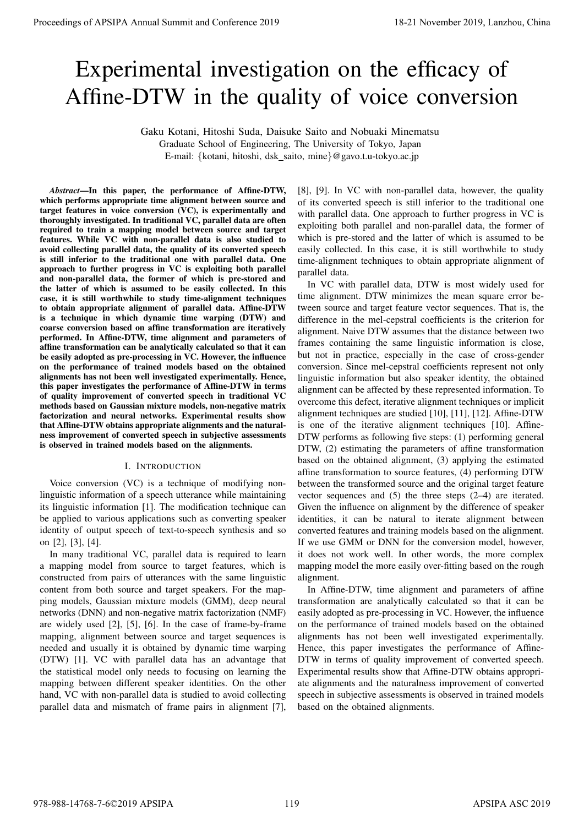# Experimental investigation on the efficacy of Affine-DTW in the quality of voice conversion

Gaku Kotani, Hitoshi Suda, Daisuke Saito and Nobuaki Minematsu

Graduate School of Engineering, The University of Tokyo, Japan

E-mail: {kotani, hitoshi, dsk\_saito, mine}@gavo.t.u-tokyo.ac.jp

*Abstract*—In this paper, the performance of Affine-DTW, which performs appropriate time alignment between source and target features in voice conversion (VC), is experimentally and thoroughly investigated. In traditional VC, parallel data are often required to train a mapping model between source and target features. While VC with non-parallel data is also studied to avoid collecting parallel data, the quality of its converted speech is still inferior to the traditional one with parallel data. One approach to further progress in VC is exploiting both parallel and non-parallel data, the former of which is pre-stored and the latter of which is assumed to be easily collected. In this case, it is still worthwhile to study time-alignment techniques to obtain appropriate alignment of parallel data. Affine-DTW is a technique in which dynamic time warping (DTW) and coarse conversion based on affine transformation are iteratively performed. In Affine-DTW, time alignment and parameters of affine transformation can be analytically calculated so that it can be easily adopted as pre-processing in VC. However, the influence on the performance of trained models based on the obtained alignments has not been well investigated experimentally. Hence, this paper investigates the performance of Affine-DTW in terms of quality improvement of converted speech in traditional VC methods based on Gaussian mixture models, non-negative matrix factorization and neural networks. Experimental results show that Affine-DTW obtains appropriate alignments and the naturalness improvement of converted speech in subjective assessments is observed in trained models based on the alignments.

# I. INTRODUCTION

Voice conversion (VC) is a technique of modifying nonlinguistic information of a speech utterance while maintaining its linguistic information [1]. The modification technique can be applied to various applications such as converting speaker identity of output speech of text-to-speech synthesis and so on [2], [3], [4].

In many traditional VC, parallel data is required to learn a mapping model from source to target features, which is constructed from pairs of utterances with the same linguistic content from both source and target speakers. For the mapping models, Gaussian mixture models (GMM), deep neural networks (DNN) and non-negative matrix factorization (NMF) are widely used [2], [5], [6]. In the case of frame-by-frame mapping, alignment between source and target sequences is needed and usually it is obtained by dynamic time warping (DTW) [1]. VC with parallel data has an advantage that the statistical model only needs to focusing on learning the mapping between different speaker identities. On the other hand, VC with non-parallel data is studied to avoid collecting parallel data and mismatch of frame pairs in alignment [7],

[8], [9]. In VC with non-parallel data, however, the quality of its converted speech is still inferior to the traditional one with parallel data. One approach to further progress in VC is exploiting both parallel and non-parallel data, the former of which is pre-stored and the latter of which is assumed to be easily collected. In this case, it is still worthwhile to study time-alignment techniques to obtain appropriate alignment of parallel data.

In VC with parallel data, DTW is most widely used for time alignment. DTW minimizes the mean square error between source and target feature vector sequences. That is, the difference in the mel-cepstral coefficients is the criterion for alignment. Naive DTW assumes that the distance between two frames containing the same linguistic information is close, but not in practice, especially in the case of cross-gender conversion. Since mel-cepstral coefficients represent not only linguistic information but also speaker identity, the obtained alignment can be affected by these represented information. To overcome this defect, iterative alignment techniques or implicit alignment techniques are studied [10], [11], [12]. Affine-DTW is one of the iterative alignment techniques [10]. Affine-DTW performs as following five steps: (1) performing general DTW, (2) estimating the parameters of affine transformation based on the obtained alignment, (3) applying the estimated affine transformation to source features, (4) performing DTW between the transformed source and the original target feature vector sequences and (5) the three steps (2–4) are iterated. Given the influence on alignment by the difference of speaker identities, it can be natural to iterate alignment between converted features and training models based on the alignment. If we use GMM or DNN for the conversion model, however, it does not work well. In other words, the more complex mapping model the more easily over-fitting based on the rough alignment. **Proceedings of APSIPA Annual Summit at China 978-988-1201**<br> **Experimented interactions of the equality of voice conversion and conference 2019**<br>
Administration and Equations of the equality of voice conversion and confer

In Affine-DTW, time alignment and parameters of affine transformation are analytically calculated so that it can be easily adopted as pre-processing in VC. However, the influence on the performance of trained models based on the obtained alignments has not been well investigated experimentally. Hence, this paper investigates the performance of Affine-DTW in terms of quality improvement of converted speech. Experimental results show that Affine-DTW obtains appropriate alignments and the naturalness improvement of converted speech in subjective assessments is observed in trained models based on the obtained alignments.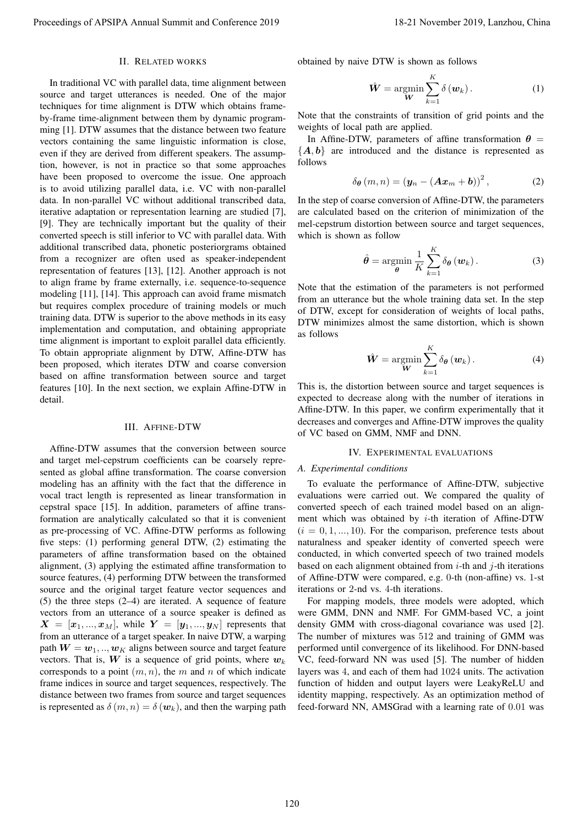# II. RELATED WORKS

In traditional VC with parallel data, time alignment between source and target utterances is needed. One of the major techniques for time alignment is DTW which obtains frameby-frame time-alignment between them by dynamic programming [1]. DTW assumes that the distance between two feature vectors containing the same linguistic information is close, even if they are derived from different speakers. The assumption, however, is not in practice so that some approaches have been proposed to overcome the issue. One approach is to avoid utilizing parallel data, i.e. VC with non-parallel data. In non-parallel VC without additional transcribed data, iterative adaptation or representation learning are studied [7], [9]. They are technically important but the quality of their converted speech is still inferior to VC with parallel data. With additional transcribed data, phonetic posteriorgrams obtained from a recognizer are often used as speaker-independent representation of features [13], [12]. Another approach is not to align frame by frame externally, i.e. sequence-to-sequence modeling [11], [14]. This approach can avoid frame mismatch but requires complex procedure of training models or much training data. DTW is superior to the above methods in its easy implementation and computation, and obtaining appropriate time alignment is important to exploit parallel data efficiently. To obtain appropriate alignment by DTW, Affine-DTW has been proposed, which iterates DTW and coarse conversion based on affine transformation between source and target features [10]. In the next section, we explain Affine-DTW in detail. Proceedings of APSIPA Annual Summit and Conference 2019<br>
The fit of the state of the state of the state of the state of the state of the state of the state of the state of the state of the state of the state of the state

#### III. AFFINE-DTW

Affine-DTW assumes that the conversion between source and target mel-cepstrum coefficients can be coarsely represented as global affine transformation. The coarse conversion modeling has an affinity with the fact that the difference in vocal tract length is represented as linear transformation in cepstral space [15]. In addition, parameters of affine transformation are analytically calculated so that it is convenient as pre-processing of VC. Affine-DTW performs as following five steps: (1) performing general DTW, (2) estimating the parameters of affine transformation based on the obtained alignment, (3) applying the estimated affine transformation to source features, (4) performing DTW between the transformed source and the original target feature vector sequences and (5) the three steps (2–4) are iterated. A sequence of feature vectors from an utterance of a source speaker is defined as  $X = [x_1, ..., x_M]$ , while  $Y = [y_1, ..., y_N]$  represents that from an utterance of a target speaker. In naive DTW, a warping path  $W = w_1, ..., w_K$  aligns between source and target feature vectors. That is,  $W$  is a sequence of grid points, where  $w_k$ corresponds to a point (*m, n*), the *m* and *n* of which indicate frame indices in source and target sequences, respectively. The distance between two frames from source and target sequences is represented as  $\delta(m, n) = \delta(w_k)$ , and then the warping path

obtained by naive DTW is shown as follows

$$
\hat{\mathbf{W}} = \operatorname*{argmin}_{\mathbf{W}} \sum_{k=1}^{K} \delta(\mathbf{w}_k).
$$
 (1)

Note that the constraints of transition of grid points and the weights of local path are applied.

In Affine-DTW, parameters of affine transformation  $\theta$  = *{A, b}* are introduced and the distance is represented as follows

$$
\delta_{\boldsymbol{\theta}}(m,n) = (\boldsymbol{y}_n - (\boldsymbol{A}\boldsymbol{x}_m + \boldsymbol{b}))^2, \qquad (2)
$$

In the step of coarse conversion of Affine-DTW, the parameters are calculated based on the criterion of minimization of the mel-cepstrum distortion between source and target sequences, which is shown as follow

$$
\hat{\boldsymbol{\theta}} = \underset{\boldsymbol{\theta}}{\operatorname{argmin}} \frac{1}{K} \sum_{k=1}^{K} \delta_{\boldsymbol{\theta}} \left( \boldsymbol{w}_{k} \right). \tag{3}
$$

Note that the estimation of the parameters is not performed from an utterance but the whole training data set. In the step of DTW, except for consideration of weights of local paths, DTW minimizes almost the same distortion, which is shown as follows

$$
\hat{\mathbf{W}} = \operatorname*{argmin}_{\mathbf{W}} \sum_{k=1}^{K} \delta_{\theta} \left( \mathbf{w}_{k} \right). \tag{4}
$$

This is, the distortion between source and target sequences is expected to decrease along with the number of iterations in Affine-DTW. In this paper, we confirm experimentally that it decreases and converges and Affine-DTW improves the quality of VC based on GMM, NMF and DNN.

#### IV. EXPERIMENTAL EVALUATIONS

### *A. Experimental conditions*

To evaluate the performance of Affine-DTW, subjective evaluations were carried out. We compared the quality of converted speech of each trained model based on an alignment which was obtained by *i*-th iteration of Affine-DTW  $(i = 0, 1, \ldots, 10)$ . For the comparison, preference tests about naturalness and speaker identity of converted speech were conducted, in which converted speech of two trained models based on each alignment obtained from *i*-th and *j*-th iterations of Affine-DTW were compared, e.g. 0-th (non-affine) vs. 1-st iterations or 2-nd vs. 4-th iterations.

For mapping models, three models were adopted, which were GMM, DNN and NMF. For GMM-based VC, a joint density GMM with cross-diagonal covariance was used [2]. The number of mixtures was 512 and training of GMM was performed until convergence of its likelihood. For DNN-based VC, feed-forward NN was used [5]. The number of hidden layers was 4, and each of them had 1024 units. The activation function of hidden and output layers were LeakyReLU and identity mapping, respectively. As an optimization method of feed-forward NN, AMSGrad with a learning rate of 0*.*01 was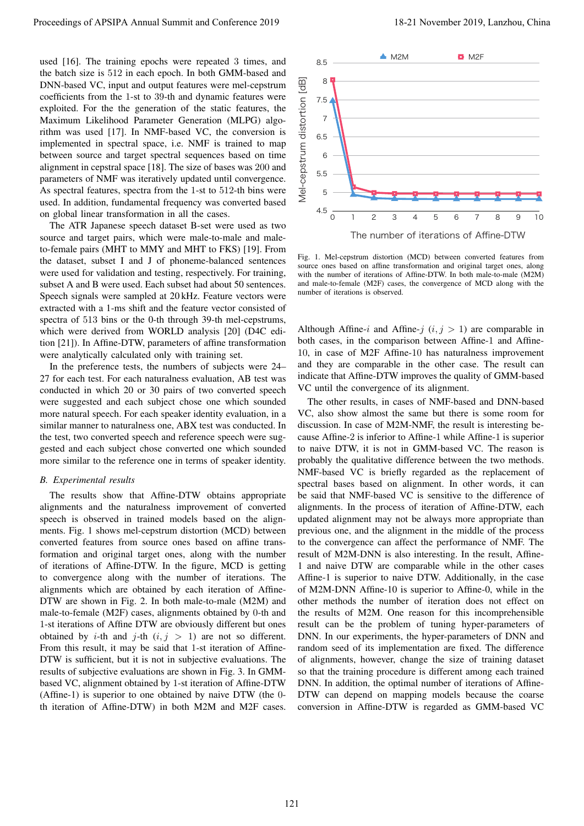used [16]. The training epochs were repeated 3 times, and the batch size is 512 in each epoch. In both GMM-based and DNN-based VC, input and output features were mel-cepstrum coefficients from the 1-st to 39-th and dynamic features were exploited. For the the generation of the static features, the Maximum Likelihood Parameter Generation (MLPG) algorithm was used [17]. In NMF-based VC, the conversion is implemented in spectral space, i.e. NMF is trained to map between source and target spectral sequences based on time alignment in cepstral space [18]. The size of bases was 200 and parameters of NMF was iteratively updated until convergence. As spectral features, spectra from the 1-st to 512-th bins were used. In addition, fundamental frequency was converted based on global linear transformation in all the cases.

The ATR Japanese speech dataset B-set were used as two source and target pairs, which were male-to-male and maleto-female pairs (MHT to MMY and MHT to FKS) [19]. From the dataset, subset I and J of phoneme-balanced sentences were used for validation and testing, respectively. For training, subset A and B were used. Each subset had about 50 sentences. Speech signals were sampled at 20 kHz. Feature vectors were extracted with a 1-ms shift and the feature vector consisted of spectra of 513 bins or the 0-th through 39-th mel-cepstrums, which were derived from WORLD analysis [20] (D4C edition [21]). In Affine-DTW, parameters of affine transformation were analytically calculated only with training set.

In the preference tests, the numbers of subjects were 24– 27 for each test. For each naturalness evaluation, AB test was conducted in which 20 or 30 pairs of two converted speech were suggested and each subject chose one which sounded more natural speech. For each speaker identity evaluation, in a similar manner to naturalness one, ABX test was conducted. In the test, two converted speech and reference speech were suggested and each subject chose converted one which sounded more similar to the reference one in terms of speaker identity.

#### *B. Experimental results*

The results show that Affine-DTW obtains appropriate alignments and the naturalness improvement of converted speech is observed in trained models based on the alignments. Fig. 1 shows mel-cepstrum distortion (MCD) between converted features from source ones based on affine transformation and original target ones, along with the number of iterations of Affine-DTW. In the figure, MCD is getting to convergence along with the number of iterations. The alignments which are obtained by each iteration of Affine-DTW are shown in Fig. 2. In both male-to-male (M2M) and male-to-female (M2F) cases, alignments obtained by 0-th and 1-st iterations of Affine DTW are obviously different but ones obtained by *i*-th and *j*-th  $(i, j > 1)$  are not so different. From this result, it may be said that 1-st iteration of Affine-DTW is sufficient, but it is not in subjective evaluations. The results of subjective evaluations are shown in Fig. 3. In GMMbased VC, alignment obtained by 1-st iteration of Affine-DTW (Affine-1) is superior to one obtained by naive DTW (the 0 th iteration of Affine-DTW) in both M2M and M2F cases.



Fig. 1. Mel-cepstrum distortion (MCD) between converted features from source ones based on affine transformation and original target ones, along with the number of iterations of Affine-DTW. In both male-to-male (M2M) and male-to-female (M2F) cases, the convergence of MCD along with the number of iterations is observed.

Although Affine-*i* and Affine-*j*  $(i, j > 1)$  are comparable in both cases, in the comparison between Affine-1 and Affine-10, in case of M2F Affine-10 has naturalness improvement and they are comparable in the other case. The result can indicate that Affine-DTW improves the quality of GMM-based VC until the convergence of its alignment.

The other results, in cases of NMF-based and DNN-based VC, also show almost the same but there is some room for discussion. In case of M2M-NMF, the result is interesting because Affine-2 is inferior to Affine-1 while Affine-1 is superior to naive DTW, it is not in GMM-based VC. The reason is probably the qualitative difference between the two methods. NMF-based VC is briefly regarded as the replacement of spectral bases based on alignment. In other words, it can be said that NMF-based VC is sensitive to the difference of alignments. In the process of iteration of Affine-DTW, each updated alignment may not be always more appropriate than previous one, and the alignment in the middle of the process to the convergence can affect the performance of NMF. The result of M2M-DNN is also interesting. In the result, Affine-1 and naive DTW are comparable while in the other cases Affine-1 is superior to naive DTW. Additionally, in the case of M2M-DNN Affine-10 is superior to Affine-0, while in the other methods the number of iteration does not effect on the results of M2M. One reason for this incomprehensible result can be the problem of tuning hyper-parameters of DNN. In our experiments, the hyper-parameters of DNN and random seed of its implementation are fixed. The difference of alignments, however, change the size of training dataset so that the training procedure is different among each trained DNN. In addition, the optimal number of iterations of Affine-DTW can depend on mapping models because the coarse conversion in Affine-DTW is regarded as GMM-based VC Proceeding of APSIPA Annual Summit and B has end<br>
and B had the the summer of APSIPA Annual Summit and Conference 2019. The summit and conference 2019, and the summit and Conference 2019, and the summit and Conference 201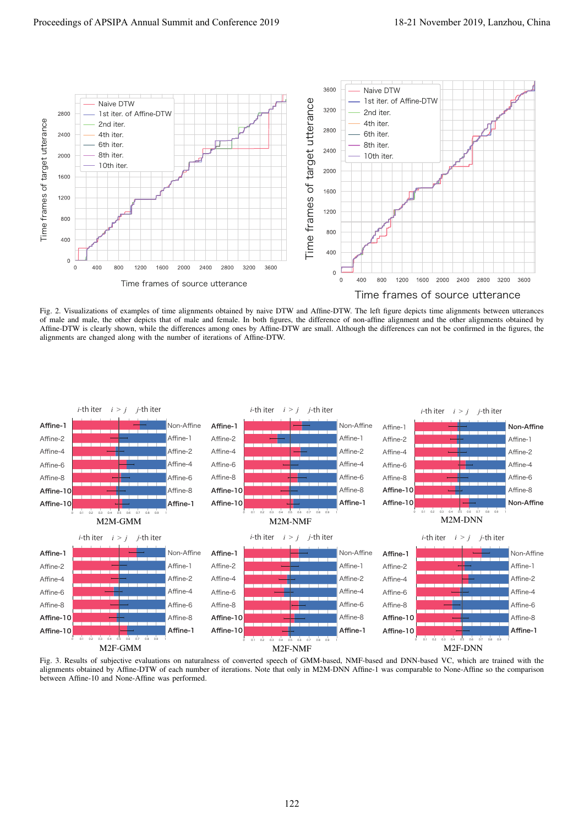

Fig. 2. Visualizations of examples of time alignments obtained by naive DTW and Affine-DTW. The left figure depicts time alignments between utterances of male and male, the other depicts that of male and female. In both figures, the difference of non-affine alignment and the other alignments obtained by Affine-DTW is clearly shown, while the differences among ones by Affine-DTW are small. Although the differences can not be confirmed in the figures, the alignments are changed along with the number of iterations of Affine-DTW.



Fig. 3. Results of subjective evaluations on naturalness of converted speech of GMM-based, NMF-based and DNN-based VC, which are trained with the alignments obtained by Affine-DTW of each number of iterations. Note that only in M2M-DNN Affine-1 was comparable to None-Affine so the comparison between Affine-10 and None-Affine was performed.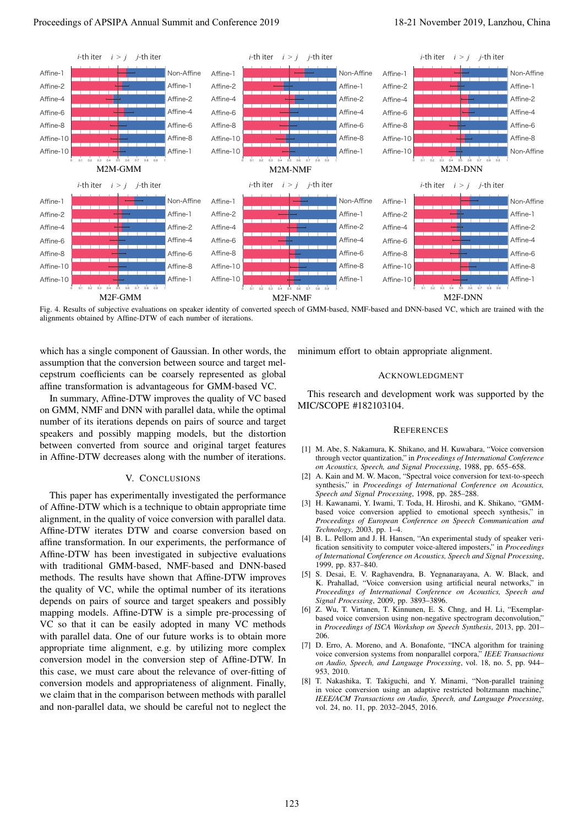

Fig. 4. Results of subjective evaluations on speaker identity of converted speech of GMM-based, NMF-based and DNN-based VC, which are trained with the alignments obtained by Affine-DTW of each number of iterations.

which has a single component of Gaussian. In other words, the assumption that the conversion between source and target melcepstrum coefficients can be coarsely represented as global affine transformation is advantageous for GMM-based VC.

In summary, Affine-DTW improves the quality of VC based on GMM, NMF and DNN with parallel data, while the optimal number of its iterations depends on pairs of source and target speakers and possibly mapping models, but the distortion between converted from source and original target features in Affine-DTW decreases along with the number of iterations.

## V. CONCLUSIONS

This paper has experimentally investigated the performance of Affine-DTW which is a technique to obtain appropriate time alignment, in the quality of voice conversion with parallel data. Affine-DTW iterates DTW and coarse conversion based on affine transformation. In our experiments, the performance of Affine-DTW has been investigated in subjective evaluations with traditional GMM-based, NMF-based and DNN-based methods. The results have shown that Affine-DTW improves the quality of VC, while the optimal number of its iterations depends on pairs of source and target speakers and possibly mapping models. Affine-DTW is a simple pre-processing of VC so that it can be easily adopted in many VC methods with parallel data. One of our future works is to obtain more appropriate time alignment, e.g. by utilizing more complex conversion model in the conversion step of Affine-DTW. In this case, we must care about the relevance of over-fitting of conversion models and appropriateness of alignment. Finally, we claim that in the comparison between methods with parallel and non-parallel data, we should be careful not to neglect the

minimum effort to obtain appropriate alignment.

## ACKNOWLEDGMENT

This research and development work was supported by the MIC/SCOPE #182103104.

#### **REFERENCES**

- [1] M. Abe, S. Nakamura, K. Shikano, and H. Kuwabara, "Voice conversion through vector quantization," in *Proceedings of International Conference on Acoustics, Speech, and Signal Processing*, 1988, pp. 655–658.
- [2] A. Kain and M. W. Macon, "Spectral voice conversion for text-to-speech synthesis," in *Proceedings of International Conference on Acoustics, Speech and Signal Processing*, 1998, pp. 285–288.
- [3] H. Kawanami, Y. Iwami, T. Toda, H. Hiroshi, and K. Shikano, "GMMbased voice conversion applied to emotional speech synthesis," in *Proceedings of European Conference on Speech Communication and Technology*, 2003, pp. 1–4.
- [4] B. L. Pellom and J. H. Hansen, "An experimental study of speaker verification sensitivity to computer voice-altered imposters," in *Proceedings of International Conference on Acoustics, Speech and Signal Processing*, 1999, pp. 837–840.
- [5] S. Desai, E. V. Raghavendra, B. Yegnanarayana, A. W. Black, and K. Prahallad, "Voice conversion using artificial neural networks," in *Proceedings of International Conference on Acoustics, Speech and Signal Processing*, 2009, pp. 3893–3896.
- [6] Z. Wu, T. Virtanen, T. Kinnunen, E. S. Chng, and H. Li, "Exemplarbased voice conversion using non-negative spectrogram deconvolution," in *Proceedings of ISCA Workshop on Speech Synthesis*, 2013, pp. 201– 206.
- [7] D. Erro, A. Moreno, and A. Bonafonte, "INCA algorithm for training voice conversion systems from nonparallel corpora," *IEEE Transactions on Audio, Speech, and Language Processing*, vol. 18, no. 5, pp. 944– 953, 2010.
- [8] T. Nakashika, T. Takiguchi, and Y. Minami, "Non-parallel training in voice conversion using an adaptive restricted boltzmann machine," *IEEE/ACM Transactions on Audio, Speech, and Language Processing*, vol. 24, no. 11, pp. 2032–2045, 2016.